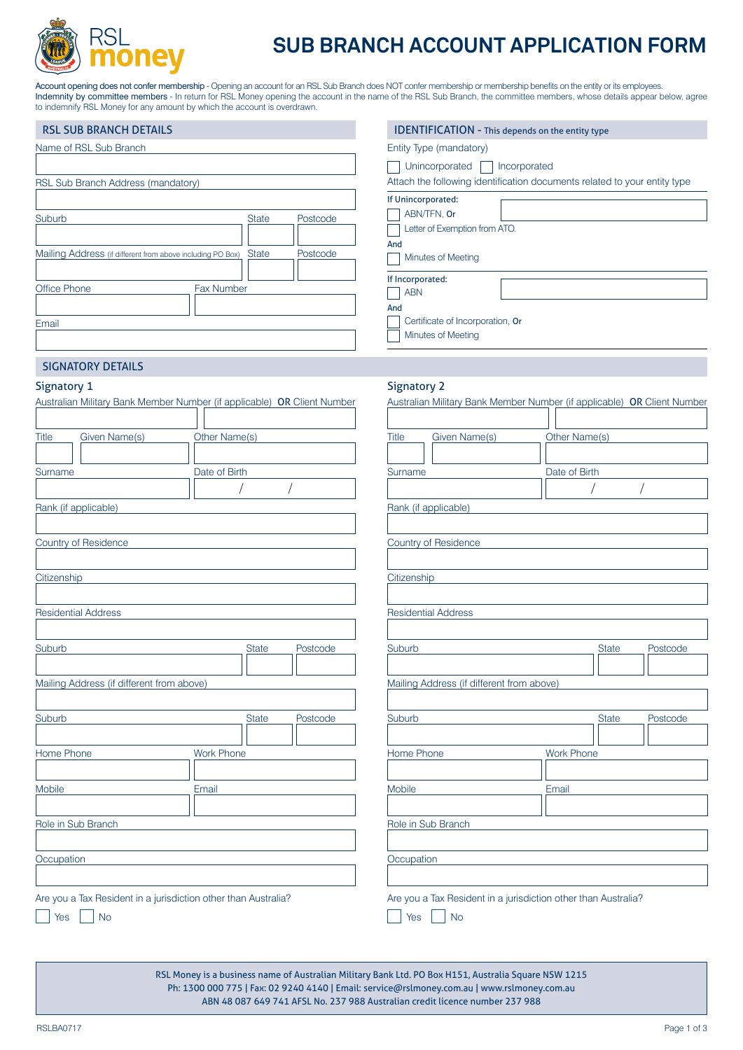

## **SUB BRANCH ACCOUNT APPLICATION FORM**

**IDENTIFICATION - This depends on the entity type** 

Account opening does not confer membership - Opening an account for an RSL Sub Branch does NOT confer membership or membership benefits on the entity or its employees. Indemnity by committee members - In return for RSL Money opening the account in the name of the RSL Sub Branch, the committee members, whose details appear below, agree to indemnify RSL Money for any amount by which the account is overdrawn.

|  | <b>RSL SUB BRANCH DETAILS</b> |  |
|--|-------------------------------|--|
|  |                               |  |

| Name of RSL Sub Branch                                                     | Entity Type (mandatory)                                                        |
|----------------------------------------------------------------------------|--------------------------------------------------------------------------------|
|                                                                            | Unincorporated<br>Incorporated                                                 |
| RSL Sub Branch Address (mandatory)                                         | Attach the following identification documents related to your entity type      |
| Suburb<br><b>State</b>                                                     | If Unincorporated:<br>ABN/TFN, Or<br>Postcode<br>Letter of Exemption from ATO. |
| Mailing Address (if different from above including PO Box)<br><b>State</b> | And<br>Postcode<br>Minutes of Meeting                                          |
| <b>Office Phone</b><br><b>Fax Number</b>                                   | If Incorporated:<br><b>ABN</b>                                                 |
| Email                                                                      | And<br>Certificate of Incorporation, Or<br>Minutes of Meeting                  |
| C(1,1)                                                                     |                                                                                |

Signatory 2

#### SIGNATORY DETAILS

#### Signatory 1

| Australian Military Bank Member Number (if applicable) OR Client Number |                   |          |              | Australian Military Bank Member Number (if applicable) OR Client Number |                   |              |          |
|-------------------------------------------------------------------------|-------------------|----------|--------------|-------------------------------------------------------------------------|-------------------|--------------|----------|
| Given Name(s)<br><b>Title</b>                                           | Other Name(s)     |          | <b>Title</b> | Given Name(s)                                                           | Other Name(s)     |              |          |
| Surname                                                                 | Date of Birth     |          | Surname      |                                                                         | Date of Birth     |              |          |
|                                                                         |                   |          |              |                                                                         |                   |              |          |
| Rank (if applicable)                                                    |                   |          |              | Rank (if applicable)                                                    |                   |              |          |
| Country of Residence                                                    |                   |          |              | Country of Residence                                                    |                   |              |          |
| Citizenship                                                             |                   |          | Citizenship  |                                                                         |                   |              |          |
| <b>Residential Address</b>                                              |                   |          |              | <b>Residential Address</b>                                              |                   |              |          |
| Suburb                                                                  | State             | Postcode | Suburb       |                                                                         |                   | <b>State</b> | Postcode |
| Mailing Address (if different from above)                               |                   |          |              | Mailing Address (if different from above)                               |                   |              |          |
| Suburb                                                                  | <b>State</b>      | Postcode | Suburb       |                                                                         |                   | <b>State</b> | Postcode |
| Home Phone                                                              | <b>Work Phone</b> |          | Home Phone   |                                                                         | <b>Work Phone</b> |              |          |
| Mobile                                                                  | Email             |          | Mobile       |                                                                         | Email             |              |          |
| Role in Sub Branch                                                      |                   |          |              | Role in Sub Branch                                                      |                   |              |          |
| Occupation                                                              |                   |          | Occupation   |                                                                         |                   |              |          |
|                                                                         |                   |          |              |                                                                         |                   |              |          |
| Are you a Tax Resident in a jurisdiction other than Australia?          |                   |          |              | Are you a Tax Resident in a jurisdiction other than Australia?          |                   |              |          |
| <b>No</b><br>Yes                                                        |                   |          | <b>Yes</b>   | <b>No</b>                                                               |                   |              |          |

RSL Money is a business name of Australian Military Bank Ltd. PO Box H151, Australia Square NSW 1215 Ph: 1300 000 775 | Fax: 02 9240 4140 | Email: service@rslmoney.com.au | www.rslmoney.com.au ABN 48 087 649 741 AFSL No. 237 988 Australian credit licence number 237 988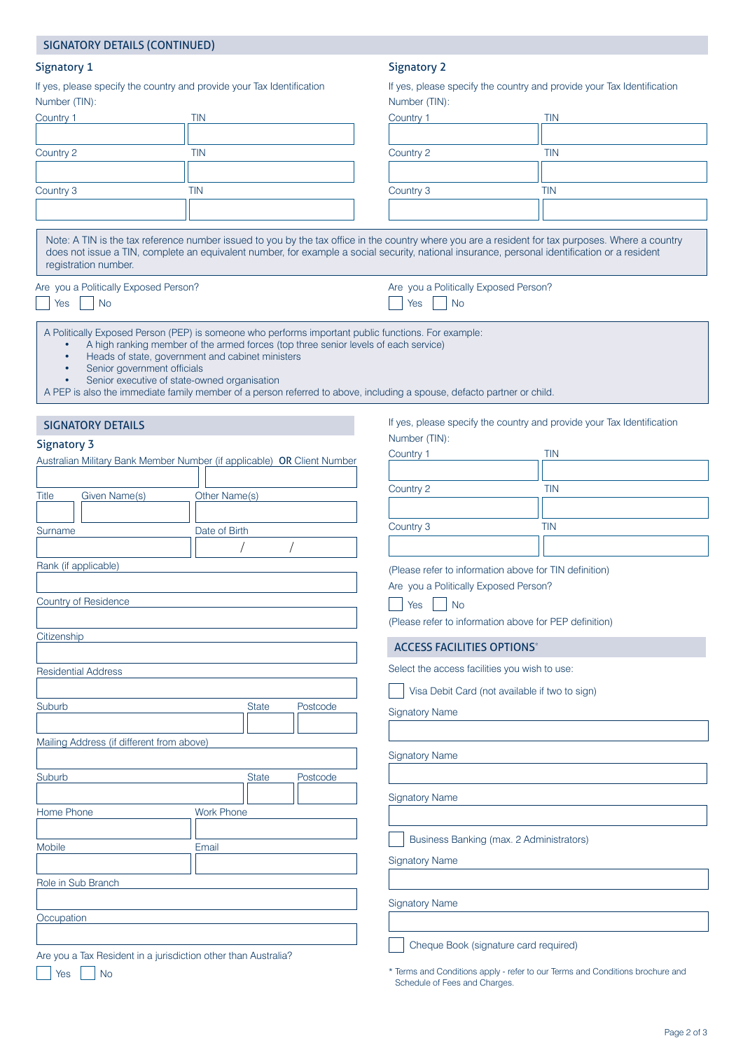|                                                                                         | <b>SIGNATORY DETAILS (CONTINUED)</b>                                                                                                                                                                                                   |                   |                                                                                         |                                                                                                                                                                                                                                                                                                    |            |  |
|-----------------------------------------------------------------------------------------|----------------------------------------------------------------------------------------------------------------------------------------------------------------------------------------------------------------------------------------|-------------------|-----------------------------------------------------------------------------------------|----------------------------------------------------------------------------------------------------------------------------------------------------------------------------------------------------------------------------------------------------------------------------------------------------|------------|--|
| <b>Signatory 1</b>                                                                      |                                                                                                                                                                                                                                        |                   |                                                                                         | <b>Signatory 2</b>                                                                                                                                                                                                                                                                                 |            |  |
| If yes, please specify the country and provide your Tax Identification<br>Number (TIN): |                                                                                                                                                                                                                                        |                   | If yes, please specify the country and provide your Tax Identification<br>Number (TIN): |                                                                                                                                                                                                                                                                                                    |            |  |
| Country 1                                                                               |                                                                                                                                                                                                                                        | <b>TIN</b>        |                                                                                         | Country 1                                                                                                                                                                                                                                                                                          | <b>TIN</b> |  |
|                                                                                         |                                                                                                                                                                                                                                        |                   |                                                                                         |                                                                                                                                                                                                                                                                                                    |            |  |
| Country 2                                                                               |                                                                                                                                                                                                                                        | <b>TIN</b>        |                                                                                         | Country 2                                                                                                                                                                                                                                                                                          | <b>TIN</b> |  |
|                                                                                         |                                                                                                                                                                                                                                        |                   |                                                                                         |                                                                                                                                                                                                                                                                                                    |            |  |
| Country 3                                                                               |                                                                                                                                                                                                                                        | TIN               |                                                                                         | Country 3                                                                                                                                                                                                                                                                                          | <b>TIN</b> |  |
|                                                                                         |                                                                                                                                                                                                                                        |                   |                                                                                         |                                                                                                                                                                                                                                                                                                    |            |  |
|                                                                                         | registration number.                                                                                                                                                                                                                   |                   |                                                                                         | Note: A TIN is the tax reference number issued to you by the tax office in the country where you are a resident for tax purposes. Where a country<br>does not issue a TIN, complete an equivalent number, for example a social security, national insurance, personal identification or a resident |            |  |
| Yes                                                                                     | Are you a Politically Exposed Person?<br><b>No</b>                                                                                                                                                                                     |                   |                                                                                         | Are you a Politically Exposed Person?<br><b>No</b><br>Yes                                                                                                                                                                                                                                          |            |  |
|                                                                                         | A Politically Exposed Person (PEP) is someone who performs important public functions. For example:<br>Heads of state, government and cabinet ministers<br>Senior government officials<br>Senior executive of state-owned organisation |                   | A high ranking member of the armed forces (top three senior levels of each service)     | A PEP is also the immediate family member of a person referred to above, including a spouse, defacto partner or child.                                                                                                                                                                             |            |  |
|                                                                                         | <b>SIGNATORY DETAILS</b>                                                                                                                                                                                                               |                   |                                                                                         | If yes, please specify the country and provide your Tax Identification                                                                                                                                                                                                                             |            |  |
| <b>Signatory 3</b>                                                                      |                                                                                                                                                                                                                                        |                   |                                                                                         | Number (TIN):                                                                                                                                                                                                                                                                                      |            |  |
|                                                                                         | Australian Military Bank Member Number (if applicable) OR Client Number                                                                                                                                                                |                   |                                                                                         | Country 1                                                                                                                                                                                                                                                                                          | <b>TIN</b> |  |
|                                                                                         |                                                                                                                                                                                                                                        |                   |                                                                                         |                                                                                                                                                                                                                                                                                                    |            |  |
| <b>Title</b>                                                                            | Given Name(s)                                                                                                                                                                                                                          | Other Name(s)     |                                                                                         | Country 2                                                                                                                                                                                                                                                                                          | <b>TIN</b> |  |
|                                                                                         |                                                                                                                                                                                                                                        |                   |                                                                                         |                                                                                                                                                                                                                                                                                                    |            |  |
| Surname                                                                                 |                                                                                                                                                                                                                                        | Date of Birth     |                                                                                         | Country 3                                                                                                                                                                                                                                                                                          | <b>TIN</b> |  |
|                                                                                         |                                                                                                                                                                                                                                        |                   |                                                                                         |                                                                                                                                                                                                                                                                                                    |            |  |
|                                                                                         | Rank (if applicable)                                                                                                                                                                                                                   |                   |                                                                                         | (Please refer to information above for TIN definition)                                                                                                                                                                                                                                             |            |  |
|                                                                                         |                                                                                                                                                                                                                                        |                   |                                                                                         | Are you a Politically Exposed Person?                                                                                                                                                                                                                                                              |            |  |
|                                                                                         | Country of Residence                                                                                                                                                                                                                   |                   |                                                                                         | <b>No</b><br>Yes                                                                                                                                                                                                                                                                                   |            |  |
|                                                                                         |                                                                                                                                                                                                                                        |                   |                                                                                         | (Please refer to information above for PEP definition)                                                                                                                                                                                                                                             |            |  |
| Citizenship                                                                             |                                                                                                                                                                                                                                        |                   |                                                                                         | <b>ACCESS FACILITIES OPTIONS*</b>                                                                                                                                                                                                                                                                  |            |  |
|                                                                                         |                                                                                                                                                                                                                                        |                   |                                                                                         |                                                                                                                                                                                                                                                                                                    |            |  |
|                                                                                         | <b>Residential Address</b>                                                                                                                                                                                                             |                   |                                                                                         | Select the access facilities you wish to use:                                                                                                                                                                                                                                                      |            |  |
|                                                                                         |                                                                                                                                                                                                                                        |                   |                                                                                         | Visa Debit Card (not available if two to sign)                                                                                                                                                                                                                                                     |            |  |
| Suburb                                                                                  |                                                                                                                                                                                                                                        |                   | <b>State</b><br>Postcode                                                                | <b>Signatory Name</b>                                                                                                                                                                                                                                                                              |            |  |
|                                                                                         |                                                                                                                                                                                                                                        |                   |                                                                                         |                                                                                                                                                                                                                                                                                                    |            |  |
|                                                                                         | Mailing Address (if different from above)                                                                                                                                                                                              |                   |                                                                                         | <b>Signatory Name</b>                                                                                                                                                                                                                                                                              |            |  |
|                                                                                         |                                                                                                                                                                                                                                        |                   |                                                                                         |                                                                                                                                                                                                                                                                                                    |            |  |
| Suburb                                                                                  |                                                                                                                                                                                                                                        |                   | <b>State</b><br>Postcode                                                                |                                                                                                                                                                                                                                                                                                    |            |  |
|                                                                                         |                                                                                                                                                                                                                                        |                   |                                                                                         | <b>Signatory Name</b>                                                                                                                                                                                                                                                                              |            |  |
| Home Phone                                                                              |                                                                                                                                                                                                                                        | <b>Work Phone</b> |                                                                                         |                                                                                                                                                                                                                                                                                                    |            |  |
|                                                                                         |                                                                                                                                                                                                                                        |                   |                                                                                         | Business Banking (max. 2 Administrators)                                                                                                                                                                                                                                                           |            |  |
| Mobile<br>Email                                                                         |                                                                                                                                                                                                                                        |                   | <b>Signatory Name</b>                                                                   |                                                                                                                                                                                                                                                                                                    |            |  |
|                                                                                         |                                                                                                                                                                                                                                        |                   |                                                                                         |                                                                                                                                                                                                                                                                                                    |            |  |
|                                                                                         | Role in Sub Branch                                                                                                                                                                                                                     |                   |                                                                                         |                                                                                                                                                                                                                                                                                                    |            |  |
|                                                                                         |                                                                                                                                                                                                                                        |                   |                                                                                         | <b>Signatory Name</b>                                                                                                                                                                                                                                                                              |            |  |
| Occupation                                                                              |                                                                                                                                                                                                                                        |                   |                                                                                         |                                                                                                                                                                                                                                                                                                    |            |  |
|                                                                                         |                                                                                                                                                                                                                                        |                   |                                                                                         | Cheque Book (signature card required)                                                                                                                                                                                                                                                              |            |  |
|                                                                                         | Are you a Tax Resident in a jurisdiction other than Australia?                                                                                                                                                                         |                   |                                                                                         |                                                                                                                                                                                                                                                                                                    |            |  |
| Yes                                                                                     | <b>No</b>                                                                                                                                                                                                                              |                   |                                                                                         | * Terms and Conditions apply - refer to our Terms and Conditions brochure and                                                                                                                                                                                                                      |            |  |

Schedule of Fees and Charges.